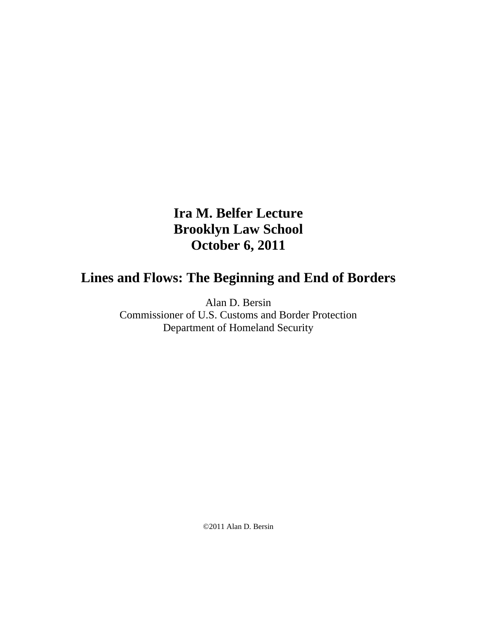# **Ira M. Belfer Lecture Brooklyn Law School October 6, 2011**

# **Lines and Flows: The Beginning and End of Borders**

Alan D. Bersin

Commissioner of U.S. Customs and Border Protection Department of Homeland Security

©2011 Alan D. Bersin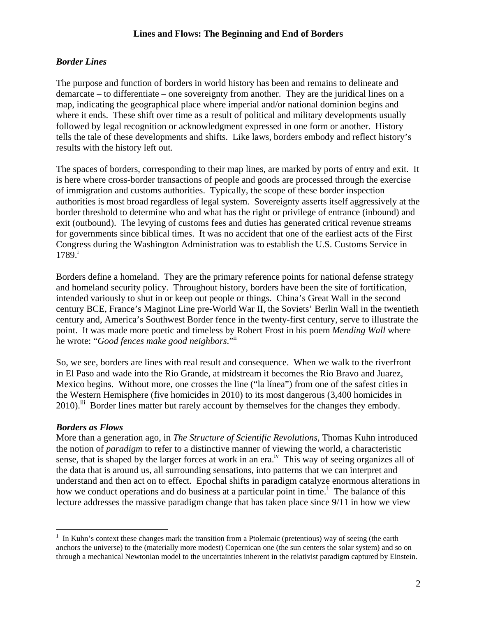# *Border Lines*

The purpose and function of borders in world history has been and remains to delineate and demarcate – to differentiate – one sovereignty from another. They are the juridical lines on a map, indicating the geographical place where imperial and/or national dominion begins and where it ends. These shift over time as a result of political and military developments usually followed by legal recognition or acknowledgment expressed in one form or another. History tells the tale of these developments and shifts. Like laws, borders embody and reflect history's results with the history left out.

The spaces of borders, corresponding to their map lines, are marked by ports of entry and exit. It is here where cross-border transactions of people and goods are processed through the exercise of immigration and customs authorities. Typically, the scope of these border inspection authorities is most broad regardless of legal system. Sovereignty asserts itself aggressively at the border threshold to determine who and what has the right or privilege of entrance (inbound) and exit (outbound). The levying of customs fees and duties has generated critical revenue streams for governments since biblical times. It was no accident that one of the earliest acts of the First Congress during the Washington Administration was to establish the U.S. Customs Service in  $1789<sup>1</sup>$ 

Borders define a homeland. They are the primary reference points for national defense strategy and homeland security policy. Throughout history, borders have been the site of fortification, intended variously to shut in or keep out people or things. China's Great Wall in the second century BCE, France's Maginot Line pre-World War II, the Soviets' Berlin Wall in the twentieth century and, America's Southwest Border fence in the twenty-first century, serve to illustrate the point. It was made more poetic and timeless by Robert Frost in his poem *Mending Wall* where he wrote: "*Good fences make good neighbors*."ii

So, we see, borders are lines with real result and consequence. When we walk to the riverfront in El Paso and wade into the Rio Grande, at midstream it becomes the Rio Bravo and Juarez, Mexico begins. Without more, one crosses the line ("la línea") from one of the safest cities in the Western Hemisphere (five homicides in 2010) to its most dangerous (3,400 homicides in 2010).<sup>iii</sup> Border lines matter but rarely account by themselves for the changes they embody.

# *Borders as Flows*

 $\overline{a}$ 

More than a generation ago, in *The Structure of Scientific Revolutions*, Thomas Kuhn introduced the notion of *paradigm* to refer to a distinctive manner of viewing the world, a characteristic sense, that is shaped by the larger forces at work in an era.<sup>iv</sup> This way of seeing organizes all of the data that is around us, all surrounding sensations, into patterns that we can interpret and understand and then act on to effect. Epochal shifts in paradigm catalyze enormous alterations in how we conduct operations and do business at a particular point in time.<sup>1</sup> The balance of this lecture addresses the massive paradigm change that has taken place since 9/11 in how we view

<sup>&</sup>lt;sup>1</sup> In Kuhn's context these changes mark the transition from a Ptolemaic (pretentious) way of seeing (the earth anchors the universe) to the (materially more modest) Copernican one (the sun centers the solar system) and so on through a mechanical Newtonian model to the uncertainties inherent in the relativist paradigm captured by Einstein.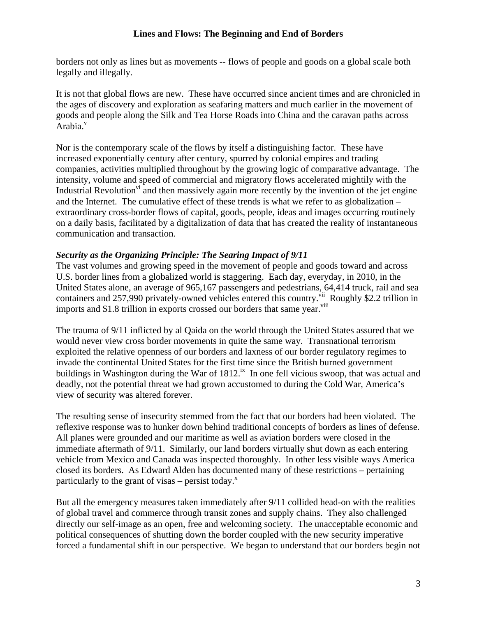borders not only as lines but as movements -- flows of people and goods on a global scale both legally and illegally.

It is not that global flows are new. These have occurred since ancient times and are chronicled in the ages of discovery and exploration as seafaring matters and much earlier in the movement of goods and people along the Silk and Tea Horse Roads into China and the caravan paths across Arabia.<sup>v</sup>

Nor is the contemporary scale of the flows by itself a distinguishing factor. These have increased exponentially century after century, spurred by colonial empires and trading companies, activities multiplied throughout by the growing logic of comparative advantage. The intensity, volume and speed of commercial and migratory flows accelerated mightily with the Industrial Revolution<sup>vi</sup> and then massively again more recently by the invention of the jet engine and the Internet. The cumulative effect of these trends is what we refer to as globalization – extraordinary cross-border flows of capital, goods, people, ideas and images occurring routinely on a daily basis, facilitated by a digitalization of data that has created the reality of instantaneous communication and transaction.

# *Security as the Organizing Principle: The Searing Impact of 9/11*

The vast volumes and growing speed in the movement of people and goods toward and across U.S. border lines from a globalized world is staggering. Each day, everyday, in 2010, in the United States alone, an average of 965,167 passengers and pedestrians, 64,414 truck, rail and sea containers and 257,990 privately-owned vehicles entered this country.<sup>vii</sup> Roughly \$2.2 trillion in imports and \$1.8 trillion in exports crossed our borders that same year.<sup>viii</sup>

The trauma of 9/11 inflicted by al Qaida on the world through the United States assured that we would never view cross border movements in quite the same way. Transnational terrorism exploited the relative openness of our borders and laxness of our border regulatory regimes to invade the continental United States for the first time since the British burned government buildings in Washington during the War of  $1812$ .<sup>ix</sup> In one fell vicious swoop, that was actual and deadly, not the potential threat we had grown accustomed to during the Cold War, America's view of security was altered forever.

The resulting sense of insecurity stemmed from the fact that our borders had been violated. The reflexive response was to hunker down behind traditional concepts of borders as lines of defense. All planes were grounded and our maritime as well as aviation borders were closed in the immediate aftermath of 9/11. Similarly, our land borders virtually shut down as each entering vehicle from Mexico and Canada was inspected thoroughly. In other less visible ways America closed its borders. As Edward Alden has documented many of these restrictions – pertaining particularly to the grant of visas – persist today. $^x$ 

But all the emergency measures taken immediately after 9/11 collided head-on with the realities of global travel and commerce through transit zones and supply chains. They also challenged directly our self-image as an open, free and welcoming society. The unacceptable economic and political consequences of shutting down the border coupled with the new security imperative forced a fundamental shift in our perspective. We began to understand that our borders begin not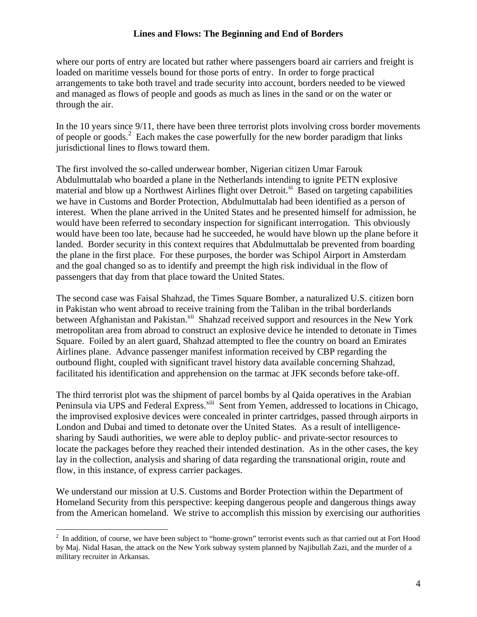where our ports of entry are located but rather where passengers board air carriers and freight is loaded on maritime vessels bound for those ports of entry. In order to forge practical arrangements to take both travel and trade security into account, borders needed to be viewed and managed as flows of people and goods as much as lines in the sand or on the water or through the air.

In the 10 years since 9/11, there have been three terrorist plots involving cross border movements of people or goods.<sup>2</sup> Each makes the case powerfully for the new border paradigm that links jurisdictional lines to flows toward them.

The first involved the so-called underwear bomber, Nigerian citizen Umar Farouk Abdulmuttalab who boarded a plane in the Netherlands intending to ignite PETN explosive material and blow up a Northwest Airlines flight over Detroit.<sup>xi</sup> Based on targeting capabilities we have in Customs and Border Protection, Abdulmuttalab had been identified as a person of interest. When the plane arrived in the United States and he presented himself for admission, he would have been referred to secondary inspection for significant interrogation. This obviously would have been too late, because had he succeeded, he would have blown up the plane before it landed. Border security in this context requires that Abdulmuttalab be prevented from boarding the plane in the first place. For these purposes, the border was Schipol Airport in Amsterdam and the goal changed so as to identify and preempt the high risk individual in the flow of passengers that day from that place toward the United States.

The second case was Faisal Shahzad, the Times Square Bomber, a naturalized U.S. citizen born in Pakistan who went abroad to receive training from the Taliban in the tribal borderlands between Afghanistan and Pakistan.<sup>xii</sup> Shahzad received support and resources in the New York metropolitan area from abroad to construct an explosive device he intended to detonate in Times Square. Foiled by an alert guard, Shahzad attempted to flee the country on board an Emirates Airlines plane. Advance passenger manifest information received by CBP regarding the outbound flight, coupled with significant travel history data available concerning Shahzad, facilitated his identification and apprehension on the tarmac at JFK seconds before take-off.

The third terrorist plot was the shipment of parcel bombs by al Qaida operatives in the Arabian Peninsula via UPS and Federal Express.<sup>xiii</sup> Sent from Yemen, addressed to locations in Chicago, the improvised explosive devices were concealed in printer cartridges, passed through airports in London and Dubai and timed to detonate over the United States. As a result of intelligencesharing by Saudi authorities, we were able to deploy public- and private-sector resources to locate the packages before they reached their intended destination. As in the other cases, the key lay in the collection, analysis and sharing of data regarding the transnational origin, route and flow, in this instance, of express carrier packages.

We understand our mission at U.S. Customs and Border Protection within the Department of Homeland Security from this perspective: keeping dangerous people and dangerous things away from the American homeland. We strive to accomplish this mission by exercising our authorities

 $\overline{a}$ 

 $2\;\;$  In addition, of course, we have been subject to "home-grown" terrorist events such as that carried out at Fort Hood by Maj. Nidal Hasan, the attack on the New York subway system planned by Najibullah Zazi, and the murder of a military recruiter in Arkansas.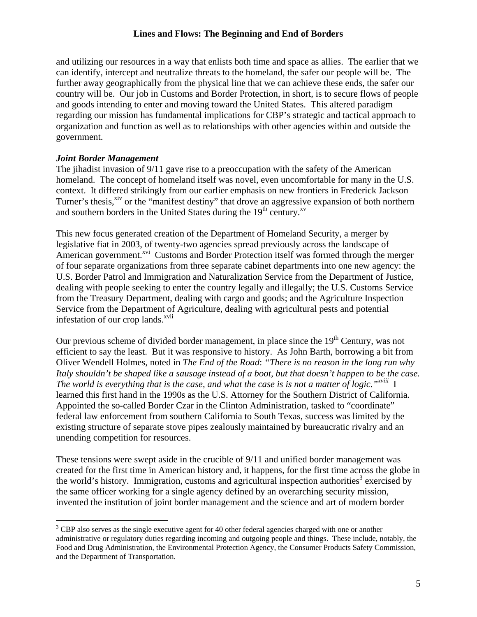and utilizing our resources in a way that enlists both time and space as allies. The earlier that we can identify, intercept and neutralize threats to the homeland, the safer our people will be. The further away geographically from the physical line that we can achieve these ends, the safer our country will be. Our job in Customs and Border Protection, in short, is to secure flows of people and goods intending to enter and moving toward the United States. This altered paradigm regarding our mission has fundamental implications for CBP's strategic and tactical approach to organization and function as well as to relationships with other agencies within and outside the government.

### *Joint Border Management*

 $\overline{a}$ 

The jihadist invasion of 9/11 gave rise to a preoccupation with the safety of the American homeland. The concept of homeland itself was novel, even uncomfortable for many in the U.S. context. It differed strikingly from our earlier emphasis on new frontiers in Frederick Jackson Turner's thesis,<sup>xiv</sup> or the "manifest destiny" that drove an aggressive expansion of both northern and southern borders in the United States during the  $19<sup>th</sup>$  century.<sup>xv</sup>

This new focus generated creation of the Department of Homeland Security, a merger by legislative fiat in 2003, of twenty-two agencies spread previously across the landscape of American government.<sup>xvi</sup> Customs and Border Protection itself was formed through the merger of four separate organizations from three separate cabinet departments into one new agency: the U.S. Border Patrol and Immigration and Naturalization Service from the Department of Justice, dealing with people seeking to enter the country legally and illegally; the U.S. Customs Service from the Treasury Department, dealing with cargo and goods; and the Agriculture Inspection Service from the Department of Agriculture, dealing with agricultural pests and potential infestation of our crop lands.<sup>xvii</sup>

Our previous scheme of divided border management, in place since the  $19<sup>th</sup>$  Century, was not efficient to say the least. But it was responsive to history. As John Barth, borrowing a bit from Oliver Wendell Holmes, noted in *The End of the Road*: *"There is no reason in the long run why Italy shouldn't be shaped like a sausage instead of a boot, but that doesn't happen to be the case. The world is everything that is the case, and what the case is is not a matter of logic."xviii* I learned this first hand in the 1990s as the U.S. Attorney for the Southern District of California. Appointed the so-called Border Czar in the Clinton Administration, tasked to "coordinate" federal law enforcement from southern California to South Texas, success was limited by the existing structure of separate stove pipes zealously maintained by bureaucratic rivalry and an unending competition for resources.

These tensions were swept aside in the crucible of 9/11 and unified border management was created for the first time in American history and, it happens, for the first time across the globe in the world's history. Immigration, customs and agricultural inspection authorities<sup>3</sup> exercised by the same officer working for a single agency defined by an overarching security mission, invented the institution of joint border management and the science and art of modern border

 $3$  CBP also serves as the single executive agent for 40 other federal agencies charged with one or another administrative or regulatory duties regarding incoming and outgoing people and things. These include, notably, the Food and Drug Administration, the Environmental Protection Agency, the Consumer Products Safety Commission, and the Department of Transportation.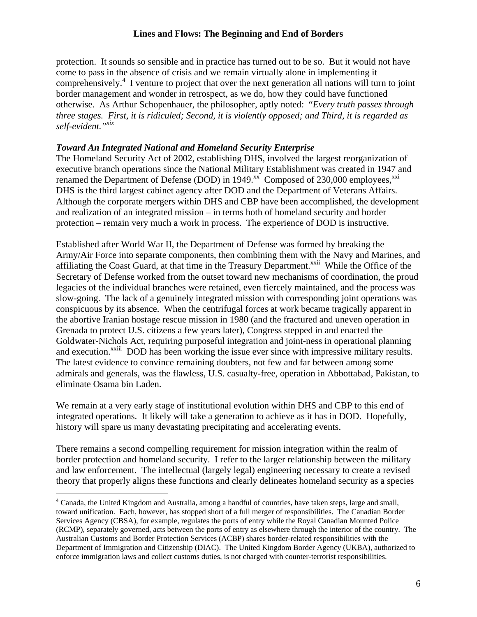protection. It sounds so sensible and in practice has turned out to be so. But it would not have come to pass in the absence of crisis and we remain virtually alone in implementing it comprehensively.<sup>4</sup> I venture to project that over the next generation all nations will turn to joint border management and wonder in retrospect, as we do, how they could have functioned otherwise. As Arthur Schopenhauer, the philosopher, aptly noted: "*Every truth passes through three stages. First, it is ridiculed; Second, it is violently opposed; and Third, it is regarded as self-evident."xix*

#### *Toward An Integrated National and Homeland Security Enterprise*

The Homeland Security Act of 2002, establishing DHS, involved the largest reorganization of executive branch operations since the National Military Establishment was created in 1947 and renamed the Department of Defense (DOD) in  $1949.^{xx}$  Composed of 230,000 employees,<sup>xxi</sup> DHS is the third largest cabinet agency after DOD and the Department of Veterans Affairs. Although the corporate mergers within DHS and CBP have been accomplished, the development and realization of an integrated mission – in terms both of homeland security and border protection – remain very much a work in process. The experience of DOD is instructive.

Established after World War II, the Department of Defense was formed by breaking the Army/Air Force into separate components, then combining them with the Navy and Marines, and affiliating the Coast Guard, at that time in the Treasury Department.<sup>xxii</sup> While the Office of the Secretary of Defense worked from the outset toward new mechanisms of coordination, the proud legacies of the individual branches were retained, even fiercely maintained, and the process was slow-going. The lack of a genuinely integrated mission with corresponding joint operations was conspicuous by its absence. When the centrifugal forces at work became tragically apparent in the abortive Iranian hostage rescue mission in 1980 (and the fractured and uneven operation in Grenada to protect U.S. citizens a few years later), Congress stepped in and enacted the Goldwater-Nichols Act, requiring purposeful integration and joint-ness in operational planning and execution.<sup>xxiii</sup> DOD has been working the issue ever since with impressive military results. The latest evidence to convince remaining doubters, not few and far between among some admirals and generals, was the flawless, U.S. casualty-free, operation in Abbottabad, Pakistan, to eliminate Osama bin Laden.

We remain at a very early stage of institutional evolution within DHS and CBP to this end of integrated operations. It likely will take a generation to achieve as it has in DOD. Hopefully, history will spare us many devastating precipitating and accelerating events.

There remains a second compelling requirement for mission integration within the realm of border protection and homeland security. I refer to the larger relationship between the military and law enforcement. The intellectual (largely legal) engineering necessary to create a revised theory that properly aligns these functions and clearly delineates homeland security as a species

<u>.</u>

<sup>&</sup>lt;sup>4</sup> Canada, the United Kingdom and Australia, among a handful of countries, have taken steps, large and small, toward unification. Each, however, has stopped short of a full merger of responsibilities. The Canadian Border Services Agency (CBSA), for example, regulates the ports of entry while the Royal Canadian Mounted Police (RCMP), separately governed, acts between the ports of entry as elsewhere through the interior of the country. The Australian Customs and Border Protection Services (ACBP) shares border-related responsibilities with the Department of Immigration and Citizenship (DIAC). The United Kingdom Border Agency (UKBA), authorized to enforce immigration laws and collect customs duties, is not charged with counter-terrorist responsibilities.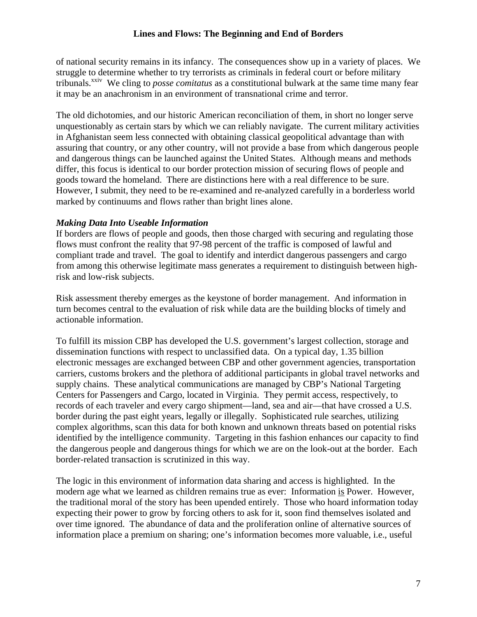of national security remains in its infancy. The consequences show up in a variety of places. We struggle to determine whether to try terrorists as criminals in federal court or before military tribunals.xxiv We cling to *posse comitatus* as a constitutional bulwark at the same time many fear it may be an anachronism in an environment of transnational crime and terror.

The old dichotomies, and our historic American reconciliation of them, in short no longer serve unquestionably as certain stars by which we can reliably navigate. The current military activities in Afghanistan seem less connected with obtaining classical geopolitical advantage than with assuring that country, or any other country, will not provide a base from which dangerous people and dangerous things can be launched against the United States. Although means and methods differ, this focus is identical to our border protection mission of securing flows of people and goods toward the homeland. There are distinctions here with a real difference to be sure. However, I submit, they need to be re-examined and re-analyzed carefully in a borderless world marked by continuums and flows rather than bright lines alone.

#### *Making Data Into Useable Information*

If borders are flows of people and goods, then those charged with securing and regulating those flows must confront the reality that 97-98 percent of the traffic is composed of lawful and compliant trade and travel. The goal to identify and interdict dangerous passengers and cargo from among this otherwise legitimate mass generates a requirement to distinguish between highrisk and low-risk subjects.

Risk assessment thereby emerges as the keystone of border management. And information in turn becomes central to the evaluation of risk while data are the building blocks of timely and actionable information.

To fulfill its mission CBP has developed the U.S. government's largest collection, storage and dissemination functions with respect to unclassified data. On a typical day, 1.35 billion electronic messages are exchanged between CBP and other government agencies, transportation carriers, customs brokers and the plethora of additional participants in global travel networks and supply chains. These analytical communications are managed by CBP's National Targeting Centers for Passengers and Cargo, located in Virginia. They permit access, respectively, to records of each traveler and every cargo shipment—land, sea and air—that have crossed a U.S. border during the past eight years, legally or illegally. Sophisticated rule searches, utilizing complex algorithms, scan this data for both known and unknown threats based on potential risks identified by the intelligence community. Targeting in this fashion enhances our capacity to find the dangerous people and dangerous things for which we are on the look-out at the border. Each border-related transaction is scrutinized in this way.

The logic in this environment of information data sharing and access is highlighted. In the modern age what we learned as children remains true as ever: Information is Power. However, the traditional moral of the story has been upended entirely. Those who hoard information today expecting their power to grow by forcing others to ask for it, soon find themselves isolated and over time ignored. The abundance of data and the proliferation online of alternative sources of information place a premium on sharing; one's information becomes more valuable, i.e., useful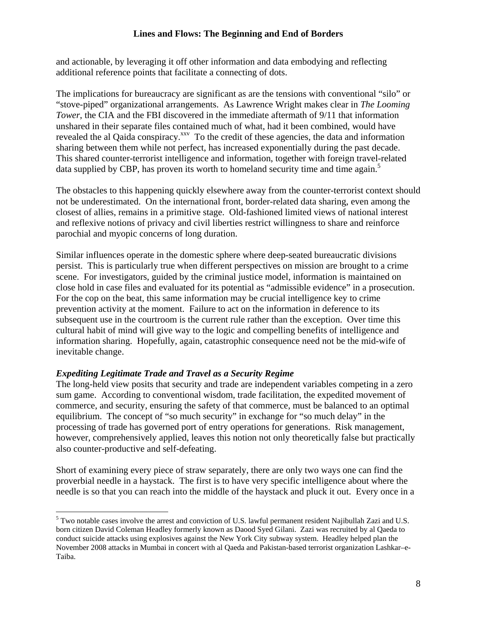and actionable, by leveraging it off other information and data embodying and reflecting additional reference points that facilitate a connecting of dots.

The implications for bureaucracy are significant as are the tensions with conventional "silo" or "stove-piped" organizational arrangements. As Lawrence Wright makes clear in *The Looming Tower*, the CIA and the FBI discovered in the immediate aftermath of 9/11 that information unshared in their separate files contained much of what, had it been combined, would have revealed the al Qaida conspiracy.<sup>xxv</sup> To the credit of these agencies, the data and information sharing between them while not perfect, has increased exponentially during the past decade. This shared counter-terrorist intelligence and information, together with foreign travel-related data supplied by CBP, has proven its worth to homeland security time and time again.<sup>5</sup>

The obstacles to this happening quickly elsewhere away from the counter-terrorist context should not be underestimated. On the international front, border-related data sharing, even among the closest of allies, remains in a primitive stage. Old-fashioned limited views of national interest and reflexive notions of privacy and civil liberties restrict willingness to share and reinforce parochial and myopic concerns of long duration.

Similar influences operate in the domestic sphere where deep-seated bureaucratic divisions persist. This is particularly true when different perspectives on mission are brought to a crime scene. For investigators, guided by the criminal justice model, information is maintained on close hold in case files and evaluated for its potential as "admissible evidence" in a prosecution. For the cop on the beat, this same information may be crucial intelligence key to crime prevention activity at the moment. Failure to act on the information in deference to its subsequent use in the courtroom is the current rule rather than the exception. Over time this cultural habit of mind will give way to the logic and compelling benefits of intelligence and information sharing. Hopefully, again, catastrophic consequence need not be the mid-wife of inevitable change.

# *Expediting Legitimate Trade and Travel as a Security Regime*

The long-held view posits that security and trade are independent variables competing in a zero sum game. According to conventional wisdom, trade facilitation, the expedited movement of commerce, and security, ensuring the safety of that commerce, must be balanced to an optimal equilibrium. The concept of "so much security" in exchange for "so much delay" in the processing of trade has governed port of entry operations for generations. Risk management, however, comprehensively applied, leaves this notion not only theoretically false but practically also counter-productive and self-defeating.

Short of examining every piece of straw separately, there are only two ways one can find the proverbial needle in a haystack. The first is to have very specific intelligence about where the needle is so that you can reach into the middle of the haystack and pluck it out. Every once in a

 $\overline{a}$  $<sup>5</sup>$  Two notable cases involve the arrest and conviction of U.S. lawful permanent resident Najibullah Zazi and U.S.</sup> born citizen David Coleman Headley formerly known as Daood Syed Gilani. Zazi was recruited by al Qaeda to conduct suicide attacks using explosives against the New York City subway system. Headley helped plan the November 2008 attacks in Mumbai in concert with al Qaeda and Pakistan-based terrorist organization Lashkar–e-Taiba.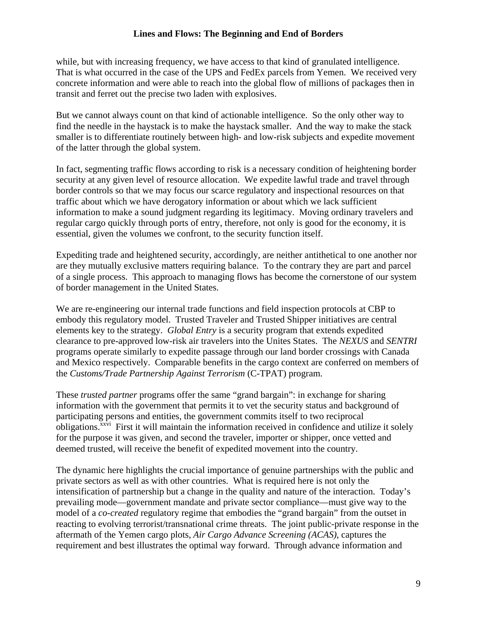while, but with increasing frequency, we have access to that kind of granulated intelligence. That is what occurred in the case of the UPS and FedEx parcels from Yemen. We received very concrete information and were able to reach into the global flow of millions of packages then in transit and ferret out the precise two laden with explosives.

But we cannot always count on that kind of actionable intelligence. So the only other way to find the needle in the haystack is to make the haystack smaller. And the way to make the stack smaller is to differentiate routinely between high- and low-risk subjects and expedite movement of the latter through the global system.

In fact, segmenting traffic flows according to risk is a necessary condition of heightening border security at any given level of resource allocation. We expedite lawful trade and travel through border controls so that we may focus our scarce regulatory and inspectional resources on that traffic about which we have derogatory information or about which we lack sufficient information to make a sound judgment regarding its legitimacy. Moving ordinary travelers and regular cargo quickly through ports of entry, therefore, not only is good for the economy, it is essential, given the volumes we confront, to the security function itself.

Expediting trade and heightened security, accordingly, are neither antithetical to one another nor are they mutually exclusive matters requiring balance. To the contrary they are part and parcel of a single process. This approach to managing flows has become the cornerstone of our system of border management in the United States.

We are re-engineering our internal trade functions and field inspection protocols at CBP to embody this regulatory model. Trusted Traveler and Trusted Shipper initiatives are central elements key to the strategy. *Global Entry* is a security program that extends expedited clearance to pre-approved low-risk air travelers into the Unites States. The *NEXUS* and *SENTRI* programs operate similarly to expedite passage through our land border crossings with Canada and Mexico respectively. Comparable benefits in the cargo context are conferred on members of the *Customs/Trade Partnership Against Terrorism* (C-TPAT) program.

These *trusted partner* programs offer the same "grand bargain": in exchange for sharing information with the government that permits it to vet the security status and background of participating persons and entities, the government commits itself to two reciprocal obligations.<sup>xxvi</sup> First it will maintain the information received in confidence and utilize it solely for the purpose it was given, and second the traveler, importer or shipper, once vetted and deemed trusted, will receive the benefit of expedited movement into the country.

The dynamic here highlights the crucial importance of genuine partnerships with the public and private sectors as well as with other countries. What is required here is not only the intensification of partnership but a change in the quality and nature of the interaction. Today's prevailing mode—government mandate and private sector compliance—must give way to the model of a *co-created* regulatory regime that embodies the "grand bargain" from the outset in reacting to evolving terrorist/transnational crime threats. The joint public-private response in the aftermath of the Yemen cargo plots, *Air Cargo Advance Screening (ACAS)*, captures the requirement and best illustrates the optimal way forward. Through advance information and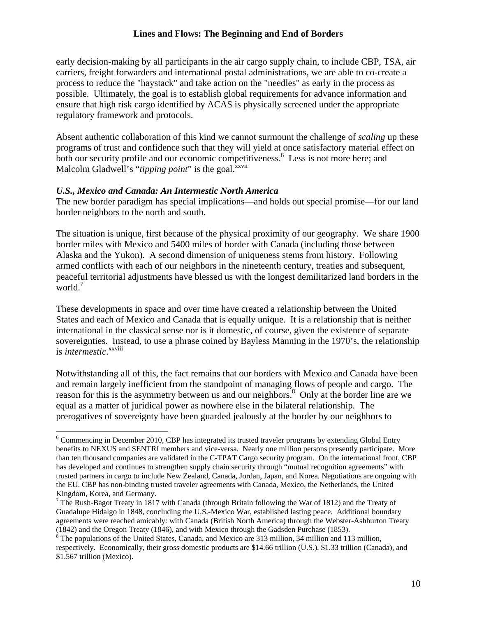early decision-making by all participants in the air cargo supply chain, to include CBP, TSA, air carriers, freight forwarders and international postal administrations, we are able to co-create a process to reduce the "haystack" and take action on the "needles" as early in the process as possible. Ultimately, the goal is to establish global requirements for advance information and ensure that high risk cargo identified by ACAS is physically screened under the appropriate regulatory framework and protocols.

Absent authentic collaboration of this kind we cannot surmount the challenge of *scaling* up these programs of trust and confidence such that they will yield at once satisfactory material effect on both our security profile and our economic competitiveness.<sup>6</sup> Less is not more here; and Malcolm Gladwell's "*tipping point*" is the goal.<sup>xxvii</sup>

#### *U.S., Mexico and Canada: An Intermestic North America*

 $\overline{a}$ 

The new border paradigm has special implications—and holds out special promise—for our land border neighbors to the north and south.

The situation is unique, first because of the physical proximity of our geography. We share 1900 border miles with Mexico and 5400 miles of border with Canada (including those between Alaska and the Yukon). A second dimension of uniqueness stems from history. Following armed conflicts with each of our neighbors in the nineteenth century, treaties and subsequent, peaceful territorial adjustments have blessed us with the longest demilitarized land borders in the world.<sup>7</sup>

These developments in space and over time have created a relationship between the United States and each of Mexico and Canada that is equally unique. It is a relationship that is neither international in the classical sense nor is it domestic, of course, given the existence of separate sovereignties. Instead, to use a phrase coined by Bayless Manning in the 1970's, the relationship is *intermestic*. xxviii

Notwithstanding all of this, the fact remains that our borders with Mexico and Canada have been and remain largely inefficient from the standpoint of managing flows of people and cargo. The reason for this is the asymmetry between us and our neighbors.<sup>8</sup> Only at the border line are we equal as a matter of juridical power as nowhere else in the bilateral relationship. The prerogatives of sovereignty have been guarded jealously at the border by our neighbors to

<sup>&</sup>lt;sup>6</sup> Commencing in December 2010, CBP has integrated its trusted traveler programs by extending Global Entry benefits to NEXUS and SENTRI members and vice-versa. Nearly one million persons presently participate. More than ten thousand companies are validated in the C-TPAT Cargo security program. On the international front, CBP has developed and continues to strengthen supply chain security through "mutual recognition agreements" with trusted partners in cargo to include New Zealand, Canada, Jordan, Japan, and Korea. Negotiations are ongoing with the EU. CBP has non-binding trusted traveler agreements with Canada, Mexico, the Netherlands, the United Kingdom, Korea, and Germany.

<sup>&</sup>lt;sup>7</sup> The Rush-Bagot Treaty in 1817 with Canada (through Britain following the War of 1812) and the Treaty of Guadalupe Hidalgo in 1848, concluding the U.S.-Mexico War, established lasting peace. Additional boundary agreements were reached amicably: with Canada (British North America) through the Webster-Ashburton Treaty (1842) and the Oregon Treaty (1846), and with Mexico through the Gadsden Purchase (1853).

 $8$  The populations of the United States, Canada, and Mexico are 313 million, 34 million and 113 million, respectively. Economically, their gross domestic products are \$14.66 trillion (U.S.), \$1.33 trillion (Canada), and \$1.567 trillion (Mexico).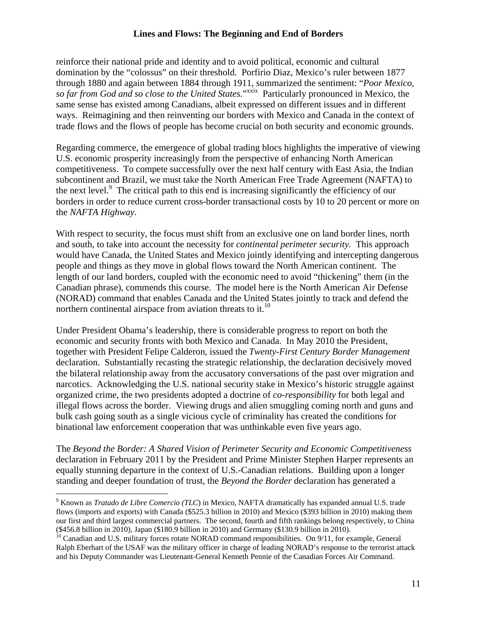reinforce their national pride and identity and to avoid political, economic and cultural domination by the "colossus" on their threshold. Porfirio Diaz, Mexico's ruler between 1877 through 1880 and again between 1884 through 1911, summarized the sentiment: "*Poor Mexico,*  so far from God and so close to the United States."<sup>xxix</sup> Particularly pronounced in Mexico, the same sense has existed among Canadians, albeit expressed on different issues and in different ways. Reimagining and then reinventing our borders with Mexico and Canada in the context of trade flows and the flows of people has become crucial on both security and economic grounds.

Regarding commerce, the emergence of global trading blocs highlights the imperative of viewing U.S. economic prosperity increasingly from the perspective of enhancing North American competitiveness. To compete successfully over the next half century with East Asia, the Indian subcontinent and Brazil, we must take the North American Free Trade Agreement (NAFTA) to the next level. $9$  The critical path to this end is increasing significantly the efficiency of our borders in order to reduce current cross-border transactional costs by 10 to 20 percent or more on the *NAFTA Highway*.

With respect to security, the focus must shift from an exclusive one on land border lines, north and south, to take into account the necessity for *continental perimeter security.* This approach would have Canada, the United States and Mexico jointly identifying and intercepting dangerous people and things as they move in global flows toward the North American continent. The length of our land borders, coupled with the economic need to avoid "thickening" them (in the Canadian phrase), commends this course. The model here is the North American Air Defense (NORAD) command that enables Canada and the United States jointly to track and defend the northern continental airspace from aviation threats to it. $^{10}$ 

Under President Obama's leadership, there is considerable progress to report on both the economic and security fronts with both Mexico and Canada. In May 2010 the President, together with President Felipe Calderon, issued the *Twenty-First Century Border Management* declaration. Substantially recasting the strategic relationship, the declaration decisively moved the bilateral relationship away from the accusatory conversations of the past over migration and narcotics. Acknowledging the U.S. national security stake in Mexico's historic struggle against organized crime, the two presidents adopted a doctrine of *co-responsibility* for both legal and illegal flows across the border. Viewing drugs and alien smuggling coming north and guns and bulk cash going south as a single vicious cycle of criminality has created the conditions for binational law enforcement cooperation that was unthinkable even five years ago.

The *Beyond the Border: A Shared Vision of Perimeter Security and Economic Competitiveness* declaration in February 2011 by the President and Prime Minister Stephen Harper represents an equally stunning departure in the context of U.S.-Canadian relations. Building upon a longer standing and deeper foundation of trust, the *Beyond the Border* declaration has generated a

 $\overline{a}$ 

<sup>9</sup> Known as *Tratado de Libre Comercio (TLC*) in Mexico, NAFTA dramatically has expanded annual U.S. trade flows (imports and exports) with Canada (\$525.3 billion in 2010) and Mexico (\$393 billion in 2010) making them our first and third largest commercial partners. The second, fourth and fifth rankings belong respectively, to China (\$456.8 billion in 2010), Japan (\$180.9 billion in 2010) and Germany (\$130.9 billion in 2010).

<sup>&</sup>lt;sup>10</sup> Canadian and U.S. military forces rotate NORAD command responsibilities. On 9/11, for example, General Ralph Eberhart of the USAF was the military officer in charge of leading NORAD's response to the terrorist attack and his Deputy Commander was Lieutenant-General Kenneth Pennie of the Canadian Forces Air Command.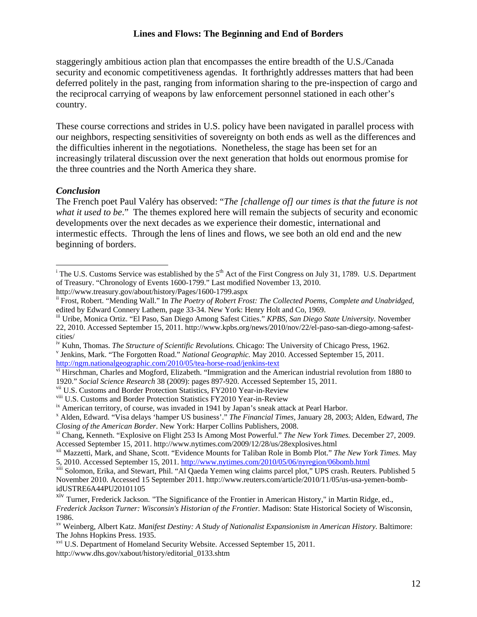staggeringly ambitious action plan that encompasses the entire breadth of the U.S./Canada security and economic competitiveness agendas. It forthrightly addresses matters that had been deferred politely in the past, ranging from information sharing to the pre-inspection of cargo and the reciprocal carrying of weapons by law enforcement personnel stationed in each other's country.

These course corrections and strides in U.S. policy have been navigated in parallel process with our neighbors, respecting sensitivities of sovereignty on both ends as well as the differences and the difficulties inherent in the negotiations. Nonetheless, the stage has been set for an increasingly trilateral discussion over the next generation that holds out enormous promise for the three countries and the North America they share.

#### *Conclusion*

 $\overline{a}$ 

The French poet Paul Valéry has observed: "*The [challenge of] our times is that the future is not what it used to be*." The themes explored here will remain the subjects of security and economic developments over the next decades as we experience their domestic, international and intermestic effects. Through the lens of lines and flows, we see both an old end and the new beginning of borders.

<sup>&</sup>lt;sup>i</sup> The U.S. Customs Service was established by the  $5<sup>th</sup>$  Act of the First Congress on July 31, 1789. U.S. Department of Treasury. "Chronology of Events 1600-1799." Last modified November 13, 2010.

http://www.treasury.gov/about/history/Pages/1600-1799.aspx

ii Frost, Robert. "Mending Wall." In *The Poetry of Robert Frost: The Collected Poems, Complete and Unabridged*, edited by Edward Connery Lathem, page 33-34. New York: Henry Holt and Co, 1969.

iii Uribe, Monica Ortiz. "El Paso, San Diego Among Safest Cities." *KPBS, San Diego State University.* November 22, 2010. Accessed September 15, 2011. http://www.kpbs.org/news/2010/nov/22/el-paso-san-diego-among-safestcities/

<sup>&</sup>lt;sup>iv</sup> Kuhn, Thomas. *The Structure of Scientific Revolutions*. Chicago: The University of Chicago Press, 1962. <sup>v</sup> Jenkins, Mark. "The Forgotten Road." *National Geographic*. May 2010. Accessed September 15, 2011. http://ngm.nationalgeographic.com/2010/05/tea-horse-road/jenkins-text<br>vi Hirschman, Charles and Mogford, Elizabeth. "Immigration and the American industrial revolution from 1880 to

<sup>1920.&</sup>quot; *Social Science Research* 38 (2009): pages 897-920. Accessed September 15, 2011.

<sup>&</sup>lt;sup>vii</sup> U.S. Customs and Border Protection Statistics, FY2010 Year-in-Review<br><sup>viii</sup> U.S. Customs and Border Protection Statistics FY2010 Year-in-Review

 $i<sup>x</sup>$  American territory, of course, was invaded in 1941 by Japan's sneak attack at Pearl Harbor.

x Alden, Edward. "Visa delays 'hamper US business'." *The Financial Times,* January 28, 2003; Alden, Edward, *The Closing of the American Border*. New York: Harper Collins Publishers, 2008.<br><sup>xi</sup> Chang, Kenneth. "Explosive on Flight 253 Is Among Most Powerful." *The New York Times*. December 27, 2009.

Accessed September 15, 2011. http://www.nytimes.com/2009/12/28/us/28explosives.html

xii Mazzetti, Mark, and Shane, Scott. "Evidence Mounts for Taliban Role in Bomb Plot." *The New York Times.* May 5, 2010. Accessed September 15, 2011. http://www.nytimes.com/2010/05/06/nyregion/06bomb.html<br><sup>xiii</sup> Solomon, Erika, and Stewart, Phil. "Al Qaeda Yemen wing claims parcel plot," UPS crash. Reuters. Published 5

November 2010. Accessed 15 September 2011. http://www.reuters.com/article/2010/11/05/us-usa-yemen-bombidUSTRE6A44PU20101105

<sup>&</sup>lt;sup>xiv</sup> Turner, Frederick Jackson. "The Significance of the Frontier in American History," in Martin Ridge, ed., *Frederick Jackson Turner: Wisconsin's Historian of the Frontier.* Madison: State Historical Society of Wisconsin, 1986.

xv Weinberg, Albert Katz. *Manifest Destiny: A Study of Nationalist Expansionism in American History*. Baltimore: The Johns Hopkins Press. 1935.

<sup>&</sup>lt;sup>xvi</sup> U.S. Department of Homeland Security Website. Accessed September 15, 2011. http://www.dhs.gov/xabout/history/editorial\_0133.shtm